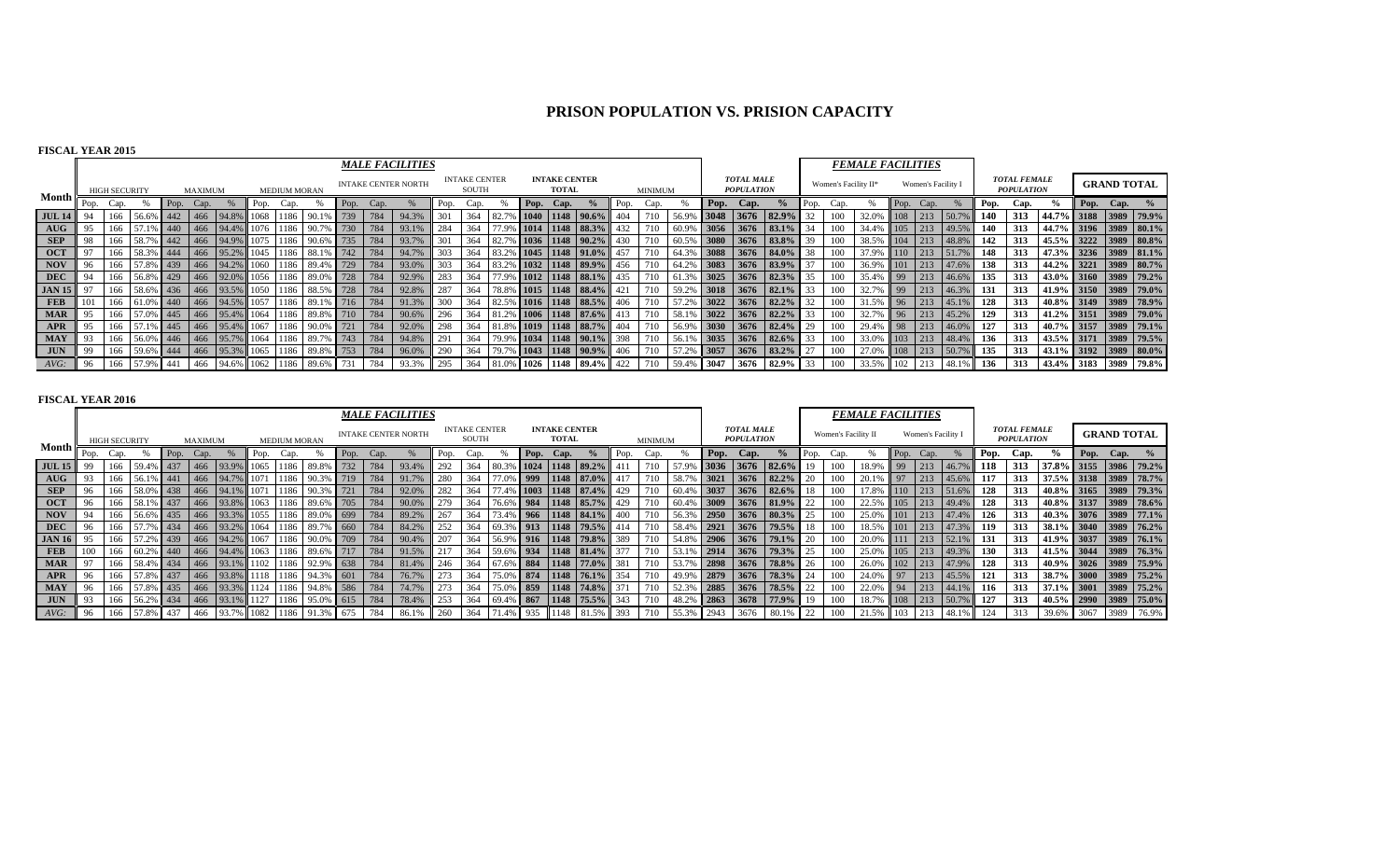# **PRISON POPULATION VS. PRISION CAPACITY**

## **FISCAL YEAR 2015**

|               |      |                      |               |      |         |           |      |                     |                                             |      |      | <b>MALE FACILITIES</b>     |      |                               |           |                                      |                           |      |         |            |      |                                        |                 |      |                      | <b>FEMALE FACILITIES</b> |    |                    |                     |      |                                          |                              |      |      |                       |
|---------------|------|----------------------|---------------|------|---------|-----------|------|---------------------|---------------------------------------------|------|------|----------------------------|------|-------------------------------|-----------|--------------------------------------|---------------------------|------|---------|------------|------|----------------------------------------|-----------------|------|----------------------|--------------------------|----|--------------------|---------------------|------|------------------------------------------|------------------------------|------|------|-----------------------|
|               |      | <b>HIGH SECURITY</b> |               |      | MAXIMUM |           |      | <b>MEDIUM MORAN</b> |                                             |      |      | <b>INTAKE CENTER NORTH</b> |      | <b>INTAKE CENTER</b><br>SOUTH |           | <b>INTAKE CENTER</b><br><b>TOTAL</b> |                           |      | MINIMUM |            |      | <b>TOTAL MALE</b><br><b>POPULATION</b> |                 |      | Women's Facility II* |                          |    | Women's Facility I |                     |      | <b>TOTAL FEMALE</b><br><b>POPULATION</b> |                              |      |      | <b>GRAND TOTAL</b>    |
| Month I       | Pop. | Cap.                 |               | Pop. | Cap.    |           | Pop. | Cap.                |                                             | Pop. | Cap. |                            | Pop. | Cap.                          |           | Pop. Cap.                            |                           | Pop. | Cap.    |            | Pop. | Cap.                                   | $\%$            | Pop. |                      |                          |    | Pop. Cap.          |                     | Pop. | Cap.                                     |                              | Pop. | Cap. |                       |
| <b>JUL 14</b> |      |                      | 56.6%         |      |         | 466 94.8% | 1068 |                     | 1186 90.1                                   | 739  | 784  | 94.3%                      | 301  | 364                           |           |                                      | $1040$   1148   90.6%     |      |         |            | 3048 |                                        | 3676 82.9%      |      | 100                  |                          |    | $\vert$ 213        |                     | 140  | 313                                      | 44.7% 3188 3989 79.9%        |      |      |                       |
| AUG           |      | 166                  | 57.1% 440     |      |         | 466 94.4% |      |                     | 1076 1186 90.7% 730                         |      | 784  | 93.1%                      | 284  | 364                           |           |                                      | $1014$   1148   88.3%     |      |         | 60.9% 3056 |      | 3676                                   | 83.1%           |      | 100                  | 34.4% 105                |    | $\vert$ 213        | 49.5%               | 140  | 313                                      |                              |      |      | 44.7% 3196 3989 80.1% |
| <b>SEP</b>    |      | 166                  | 58.7% 442     |      |         | 466 94.9% | 1075 |                     | 1186 90.6% 735                              |      | 784  | 93.7%                      | 301  | 364                           | $-182.7%$ |                                      | $6$ 1036 1148 90.2%       | 430  |         | 60.5% 3080 |      | 3676                                   | 83.8%           |      | 100                  | 38.5%                    |    | 104 213            | $48.8\%$            | 142  | 313                                      |                              |      |      | 45.5% 3222 3989 80.8% |
| <b>OCT</b>    |      |                      | 58.3% 444     |      |         | 466 95.2% |      |                     | 1045 1186 88.1% 742                         |      | 784  | 94.7%                      | 303  | 364                           | $-183.2%$ |                                      | $6$ 1045 1148 91.0%       | 457  |         | 64.3% 3088 |      |                                        | 3676 84.0%      | 38   | 100                  | 37.9%                    |    | $110$ 213          |                     | 148  | 313                                      |                              |      |      | 47.3% 3236 3989 81.1% |
| <b>NOV</b>    |      |                      | 166 57.8% 439 |      |         |           |      |                     | 466 94.2% 1060 1186 89.4% 729               |      | 784  | 93.0%                      | 303  |                               |           |                                      | 364 83.2% 1032 1148 89.9% | 456  |         | 64.2% 3083 |      |                                        | 3676 83.9%      |      | 100                  |                          |    |                    | 36.9% 101 213 47.6% | 138  | 313                                      | 44.2% 3221 3989 80.7%        |      |      |                       |
| DEC           |      |                      |               |      |         |           |      |                     | 166 56.8% 429 466 92.0% 1056 1186 89.0% 728 |      | 784  | 92.9%                      | 283  | 364                           |           |                                      | 77.9% 1012 1148 88.1%     | 435  |         | 61.3% 3025 |      |                                        | $3676$ 82.3%    | 35   | 100                  | 35.4% 99 213 46.6%       |    |                    |                     | 135  | 313                                      | 43.0% 3160 3989 79.2%        |      |      |                       |
| <b>JAN 15</b> |      |                      | 166 58.6% 436 |      |         |           |      |                     | 466 93.5% 1050 1186 88.5% 728               |      | 784  | 92.8%                      | 287  | 364                           |           |                                      | 78.8% 1015 1148 88.4%     | 421  | 710     | 59.2% 3018 |      |                                        | $3676$ 82.1%    | 33   | 100                  |                          |    |                    | 32.7% 99 213 46.3%  | 131  | 313                                      |                              |      |      | 41.9% 3150 3989 79.0% |
| <b>FEB</b>    | 101  |                      | 166 61.0% 440 |      |         |           |      |                     | $1466$   94.5%   1057   1186   89.1%   716  |      | 784  | 91.3%                      | 300  | 364                           |           |                                      | 82.5% 1016 1148 88.5%     | 406  |         | 57.2% 3022 |      |                                        | $3676$ 82.2%    | 32   | 100                  |                          | 96 | 213                | $45.1\%$            | 128  | 313                                      |                              |      |      | 40.8% 3149 3989 78.9% |
| <b>MAR</b>    |      | 166                  | 57.0% 445     |      |         | 466 95.4% | 1064 | 1186                | 89.8% 710 784                               |      |      | 90.6%                      | 296  | 364                           |           |                                      | $1006$   1148   87.6%     |      |         | 58.1% 3022 |      |                                        | $3676$ 82.2%    | 33   | 100                  | 32.7%                    | 96 |                    | 213 45.2%           | 129  | 313                                      |                              |      |      | 41.2% 3151 3989 79.0% |
| APR           |      | 166                  | 57.1% 445     |      |         |           |      |                     | 466 95.4% 1067 1186 90.0% 721               |      | 784  | 92.0%                      | 298  | 364                           |           |                                      | 81.8% 1019 1148 88.7%     |      |         | 56.9% 3030 |      |                                        | $3676$ 82.4%    |      | 100                  |                          |    |                    | 29.4% 98 213 46.0%  | 127  | 313                                      |                              |      |      | 40.7% 3157 3989 79.1% |
| <b>MAY</b>    |      |                      | 166 56.0% 446 |      |         |           |      |                     | 466 95.7% 1064 1186 89.7% 743               |      | 784  | 94.8%                      | 291  | 364                           |           |                                      | 79.9% 1034 1148 90.1%     | 398  | 710     | 56.1% 3035 |      |                                        | $3676$ 82.6%    | 33   | 100                  |                          |    |                    | 33.0% 103 213 48.4% | 136  | 313                                      |                              |      |      | 43.5% 3171 3989 79.5% |
| <b>JUN</b>    | 99   | 166                  | 59.6% 444     |      |         | 466 95.3% |      |                     | 1065 1186 89.8% 753                         |      | 784  | 96.0%                      | 290  | 364                           |           |                                      | 79.7% 1043 1148 90.9%     | 406  | 710     | 57.2% 3057 |      |                                        | 3676 83.2%      | 27   | 100                  |                          |    |                    | 27.0% 108 213 50.7% | 135  | 313                                      | $\mid$ 43.1% 3192 3989 80.0% |      |      |                       |
|               |      |                      | 166 57.9% 441 |      |         |           |      |                     | 466 94.6% 1062 1186 89.6%                   |      | 784  | 93.3%                      | 295  | 364                           |           |                                      | 81.0% 1026 1148 89.4%     | 422  |         | 59.4%      | 3047 |                                        | $3676$ 82.9% 33 |      | 100                  | 33.5% 102 213            |    |                    | 48.1%               | 136  | 313                                      | $143.4\%$ 3183               |      |      | 3989 79.8%            |

#### **FISCAL YEAR 2016**

|                    |      |                      |           |      |         |                |      |                     |                |      |      | <b>MALE FACILITIES</b>     |      |                               |           |      |                                      |                       |      |         |                   |      |                                        |                       |      |                     | <b>FEMALE FACILITIES</b> |                 |                    |           |      |                                          |                       |      |                    |                       |
|--------------------|------|----------------------|-----------|------|---------|----------------|------|---------------------|----------------|------|------|----------------------------|------|-------------------------------|-----------|------|--------------------------------------|-----------------------|------|---------|-------------------|------|----------------------------------------|-----------------------|------|---------------------|--------------------------|-----------------|--------------------|-----------|------|------------------------------------------|-----------------------|------|--------------------|-----------------------|
|                    |      | <b>HIGH SECURITY</b> |           |      | MAXIMUM |                |      | <b>MEDIUM MORAN</b> |                |      |      | <b>INTAKE CENTER NORTH</b> |      | <b>INTAKE CENTER</b><br>SOUTH |           |      | <b>INTAKE CENTER</b><br><b>TOTAL</b> |                       |      | MINIMUM |                   |      | <b>TOTAL MALE</b><br><b>POPULATION</b> |                       |      | Women's Facility II |                          |                 | Women's Facility I |           |      | <b>TOTAL FEMALE</b><br><b>POPULATION</b> |                       |      | <b>GRAND TOTAL</b> |                       |
| Month <b>i</b>     | Pop. | Cap.                 |           | Pop. | Cap.    |                | Pop. | Cap.                |                | Pop. | Cap. |                            | Pop. | Cap.                          |           | Pop. | Cap.                                 |                       | Pop. | Cap.    |                   | Pop. | Cap.                                   | $\frac{0}{0}$         | Pop. | Cap.                |                          | Pop.            | Cap.               |           | Pop. | Cap.                                     |                       | Pop. | $Cap.$ %           |                       |
| <b>JUL 15</b>      |      | 166                  |           | 437  |         | 466 93.9%      |      | 1186                | 89.89          |      | 784  | 93.4%                      | 292  | 364                           |           |      |                                      | 1148 89.2%            |      |         |                   | 3036 | 13676                                  | 82.6%                 | 19   | 100                 | 18.99                    | 99              |                    |           | 118  | 313                                      | 37.8%                 |      |                    | 3155 3986 79.2%       |
| AUG                | 93   | 166                  | 56.1% 441 |      |         | 466 94.79      |      | 1186                | $-90.39$       |      | 784  | 91.7%                      | 280  | 364                           | 77.0% 999 |      |                                      | $1148$ 87.0%          |      |         | 58.7 <sup>c</sup> | 3021 | 3676                                   | 82.2%                 | 20   | 100                 | 20.1%                    | 97              | 213                | 45.6%     | 117  | 313                                      | 37.5% 3138 3989 78.7% |      |                    |                       |
| <b>SEP</b>         |      | 166                  | 58.0% 438 |      |         | 466 94.1%      |      | 1186                | 90.3%          | 721  | 784  | 92.0%                      | 282  | 364                           |           |      |                                      | 77.4% 1003 1148 87.4% | 429  |         | 60.4% 3037        |      | 3676                                   | 82.6%                 |      | 100                 | 17.8%                    | 110             | 213                | 151.6%    | 128  | 313                                      | 40.8% 3165 3989 79.3% |      |                    |                       |
| $\overline{O}$ OCT | 96   | 166                  | 58.1% 437 |      |         | 466 93.8%      |      | 1186                | 89.6% 705      |      | 784  | 90.0%                      | 279  | 364                           |           |      |                                      | 76.6% 984 1148 85.7%  | 429  |         |                   |      |                                        | 60.4% 3009 3676 81.9% | 22   | 100                 | 22.5%                    | 105             | 213                | 49.4%     | 128  | 313                                      | 40.8% 3137 3989 78.6% |      |                    |                       |
| NOV                | 94   | 166                  | 56.6% 435 |      |         | 466 93.3%      | 1055 |                     | 1186 89.0% 699 |      | 784  | 89.2%                      | 267  | 364                           |           |      |                                      | 73.4% 966 1148 84.1%  | 400  |         | 56.3% 2950        |      |                                        | $3676$ 80.3%          |      | 100                 | 25.0%                    | 101             |                    | 213 47.4% | 126  | 313                                      | 40.3% 3076 3989 77.1% |      |                    |                       |
| <b>DEC</b>         | 96   | 166                  | 57.7% 434 |      |         | 466 93.2%      | 1064 | 1186                | 89.7% 660      |      | 784  | 84.2%                      | 252  | 364                           |           |      |                                      | 69.3% 913 1148 79.5%  |      |         | 58.4%             | 2921 | 3676                                   | $ 79.5\% $            | 18   | 100                 | 18.5%                    | 101             | 213                | 47.3%     | 119  | 313                                      | 38.1% 3040 3989 76.2% |      |                    |                       |
| <b>JAN 16</b>      | 95   | 166                  | 57 2%     | 439  |         | 466 94.2%      | 1067 | 1186                | 90.0% 709      |      | 784  | 90.4%                      | 207  | 364                           |           |      |                                      | 56.9% 916 1148 79.8%  | 389  |         |                   |      | 54.8% 2906 3676                        | 179.1%                | 20   | 100                 | 20.0%                    | 111             | 213                | $52.1\%$  | 131  | 313                                      | 41.9% 3037 3989 76.1% |      |                    |                       |
| FEB                | 100  | 166                  | 60.2%     | 440  |         | 466 94.4%      |      | 1186                | 89.6% 717      |      | 784  | 91.5%                      | 217  | 364                           |           |      |                                      | 59.6% 934 1148 81.4%  |      |         |                   |      | $2914$ 3676                            | $79.3\%$              | 25   | 100                 | 25.0%                    | 105             | 213                | 49.3%     | 130  | 313                                      | 41.5% 3044 3989 76.3% |      |                    |                       |
| <b>MAR</b>         | 97   | 166                  | 58.4% 434 |      |         | 466 93.1%      |      | 1186                | 92.9% 638      |      | 784  | 81.4%                      | 246  | 364                           |           |      |                                      | 67.6% 884 1148 77.0%  | 381  |         | 53.7              | 2898 | 3676                                   | 78.8%                 |      | 100                 | 26.0%                    | 102             |                    | 213 47.9% | 128  | 313                                      |                       |      |                    | 40.9% 3026 3989 75.9% |
| <b>APR</b>         | 96   | 166                  | 57.8% 437 |      |         | 466 93.8% 1118 |      |                     | 1186 94.3% 601 |      | 784  | 76.7%                      | 273  | 364                           |           |      |                                      | 75.0% 874 1148 76.1%  | 354  |         | 49.9%             |      | $\frac{1}{6}$ 2879 3676                | $78.3\%$              |      | 100                 | 24.0%                    | $\overline{97}$ | 213                | 45.5%     | 121  | 313                                      | 38.7% 3000 3989 75.2% |      |                    |                       |
| <b>MAY</b>         | -96  | 166                  | 57.8% 435 |      |         | 466 93.3%      |      | 1186                | 94.8% 586      |      | 784  | 74.7%                      | 273  | 364                           |           |      |                                      | 75.0% 859 1148 74.8%  |      |         |                   |      |                                        | 52.3% 2885 3676 78.5% | 22   | 100                 | 22.0%                    | 94              |                    | 213 44.1% | 116  | 313                                      | 37.1% 3001 3989 75.2% |      |                    |                       |
| <b>JUN</b>         | -93  | 166                  | 56.2% 434 |      |         | 466 93.1%      |      | 1186                | 95.0% 615      |      | 784  | 78.4%                      | 253  | 364                           |           |      |                                      | 69.4% 867 1148 75.5%  |      |         | $-48.2^{\circ}$   | 2863 | 3678                                   | 77.9%                 | 19   | 100                 | 18.7%                    | 108             |                    |           | 127  | 313                                      | 40.5% 2990            |      |                    | 3989 75.0%            |
| $AVG$ :            |      | 166                  | 57.8% 437 |      | 466     | 93.7%          |      |                     | 91.3% 675      |      | 784  | 86.1%                      | 260  | 364                           |           | 935  |                                      | 1.5%                  |      |         | 55.3%             | 2943 | 3676                                   | 80.1%                 | 22   |                     |                          | 103             |                    | 48.1%     | 124  | 313                                      | 39.6%                 | 3067 | 3989               | 76.9%                 |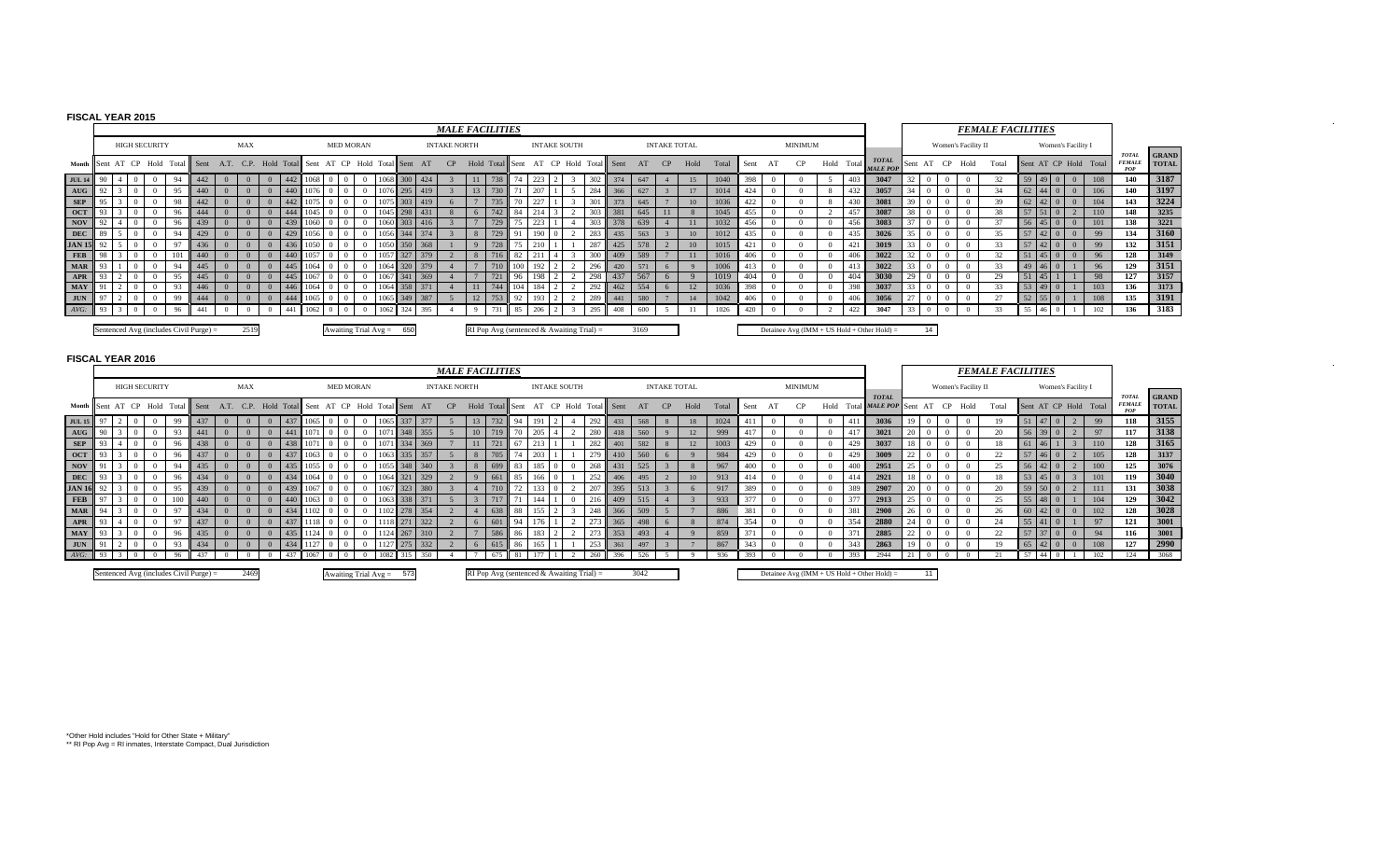## **FISCAL YEAR 2015**

**AUG**

**SEP**

**OCT**

**NOV**

**DEC**

**JAN 16**

**FEB**

**MAR**

**APR**

**MAY**

**JUN**

*AVG:*

|                                                                                                                                               |      |  |                      |          |    |                                        |          |                |                |     |      |          |                               |  |          |          |     |                     | <b>MALE FACILITIES</b>                      |                |     |         |                     |     |                                          |      |                     |           |    |       |      |                |                                             |            |                                     |                                 |                 |                 |                |                     | <b>FEMALE FACILITIES</b> |    |                       |                            |                       |                                      |                              |
|-----------------------------------------------------------------------------------------------------------------------------------------------|------|--|----------------------|----------|----|----------------------------------------|----------|----------------|----------------|-----|------|----------|-------------------------------|--|----------|----------|-----|---------------------|---------------------------------------------|----------------|-----|---------|---------------------|-----|------------------------------------------|------|---------------------|-----------|----|-------|------|----------------|---------------------------------------------|------------|-------------------------------------|---------------------------------|-----------------|-----------------|----------------|---------------------|--------------------------|----|-----------------------|----------------------------|-----------------------|--------------------------------------|------------------------------|
|                                                                                                                                               |      |  | <b>HIGH SECURITY</b> |          |    |                                        |          | MAX            |                |     |      |          | <b>MED MORAN</b>              |  |          |          |     | <b>INTAKE NORTH</b> |                                             |                |     |         | <b>INTAKE SOUTH</b> |     |                                          |      | <b>INTAKE TOTAL</b> |           |    |       |      |                | <b>MINIMUM</b>                              |            |                                     |                                 |                 |                 |                | Women's Facility II |                          |    |                       | Women's Facility I         |                       |                                      |                              |
| Month Sent AT CP Hold Total Sent A.T. C.P. Hold Total Sent AT CP Hold Total Sent AT CP Hold Total Sent AT CP Hold Total Sent AT CP Hold Total |      |  |                      |          |    |                                        |          |                |                |     |      |          |                               |  |          |          |     |                     |                                             |                |     |         |                     |     |                                          |      |                     |           |    | Total |      | Sent AT        | CP                                          | Hold Total |                                     | <b>TOTAL</b><br><b>MALE POP</b> |                 | Sent AT CP Hold |                |                     | Total                    |    |                       |                            | Sent AT CP Hold Total | <b>TOTAL</b><br><b>FEMALE</b><br>POP | <b>GRAND</b><br><b>TOTAL</b> |
| <b>JUL 14</b>                                                                                                                                 | - 90 |  |                      | $\Omega$ | 94 | 442                                    |          | $\overline{0}$ | $\overline{0}$ | 442 | 1068 |          | $\overline{0}$                |  | 1068 300 |          | 424 |                     | 11 738                                      | 74             | 223 |         |                     | 302 | 374                                      | 647  |                     |           | 15 | 1040  | 398  | $\overline{0}$ |                                             | 403        |                                     | 3047                            | 32              | $\overline{0}$  | $\overline{0}$ |                     | 32                       |    |                       | $59 \mid 49 \mid 0 \mid 0$ | 108                   | 140                                  | 3187                         |
| AUG                                                                                                                                           | 92   |  |                      | $\Omega$ | 95 | 440                                    | $\Omega$ | $\overline{0}$ | $\overline{0}$ | 440 |      | $1076$ 0 | $\Omega$                      |  |          | 1076 295 | 419 |                     | 13 730                                      |                | 207 |         |                     | 284 | 366                                      | 627  |                     |           | 17 | 1014  | 424  |                |                                             | 432        |                                     | 3057                            | 34              | $\overline{0}$  | $\overline{0}$ |                     | 34                       |    |                       | $62 \mid 44 \mid 0 \mid 0$ | 106                   | 140                                  | 3197                         |
| <b>SEP</b>                                                                                                                                    | 95   |  |                      | $\Omega$ | 98 | 442                                    |          |                |                | 442 | 1075 |          |                               |  | 1075 303 |          | 419 |                     | 735                                         | 70             | 227 |         |                     | 301 | 373                                      | 645  |                     |           | 10 | 1036  | 422  |                |                                             | 430        |                                     | 3081                            | 39              | $\Omega$        | $\overline{0}$ |                     | 39                       |    |                       | $62 \t 42 \t 0 \t 0$       | 104                   | 143                                  | 3224                         |
| OCT                                                                                                                                           | 93   |  |                      | $\Omega$ | 96 | 444                                    |          | $\Omega$       |                |     | 1045 |          |                               |  | 1045 298 |          | 431 |                     |                                             | 84             |     |         |                     | 303 | 381                                      | 645  | -11                 |           |    | 1045  | 455  | $\Omega$       |                                             | 457        |                                     | 3087                            | 38 I            | $\overline{0}$  | $\overline{0}$ |                     | 38                       |    | 57 51 0               | $\overline{2}$             | 110                   | 148                                  | 3235                         |
| <b>NOV</b>                                                                                                                                    | 92   |  |                      | $\Omega$ | 96 |                                        |          |                |                |     | 1060 |          |                               |  | 1060 303 |          | 416 |                     | 729                                         |                | 223 |         |                     | 303 | 378                                      | 639  |                     |           | 11 | 1032  | 456  |                |                                             | 456        |                                     | 3083                            | 37              | $\Omega$        | $\Omega$       |                     | 37                       |    |                       | 56 45 0 0                  | 101                   | 138                                  | 3221                         |
| DEC                                                                                                                                           | 89   |  |                      | $\Omega$ | 94 | 429                                    |          | $\Omega$       | $\Omega$       | 429 | 1056 |          |                               |  | 1056 344 |          | 374 |                     | 729                                         | Q <sub>1</sub> | 190 |         |                     | 283 | 435                                      | 563  |                     |           | 10 | 1012  | 435  |                |                                             | 435        |                                     | 3026                            | 35              | $\Omega$        | $\Omega$       |                     | 35                       |    |                       | 57 42 0 0                  | 99                    | 134                                  | 3160                         |
| <b>JAN 15</b>                                                                                                                                 | 92   |  |                      |          | 97 |                                        |          |                |                |     | 1050 |          |                               |  |          | 350      | 368 |                     |                                             |                |     |         |                     | 287 | 425                                      | 578  |                     |           | 10 | 1015  | 421  |                |                                             |            |                                     | 3019                            | 33              | $\Omega$        | $\Omega$       |                     | 33                       | 57 | 42                    | $\Omega$<br>$\Omega$       | 99                    | 132                                  | 3151                         |
| <b>FEB</b>                                                                                                                                    | -98  |  |                      | $\Omega$ |    |                                        |          | $\Omega$       |                | 440 | 1057 |          |                               |  | 057      | 327      | 379 |                     |                                             | 82             |     |         |                     | 300 | 409                                      | 589  |                     |           | 11 | 1016  | 406  |                |                                             |            |                                     | 3022                            | 32 <sup>1</sup> | $\overline{0}$  | $\Omega$       |                     | 32                       |    | $51 \; 45 \; 0$       | $\overline{0}$             | 96                    | 128                                  | 3149                         |
| <b>MAR</b>                                                                                                                                    | 93   |  |                      | $\Omega$ | 94 | 445                                    |          | $\Omega$       |                | 445 | 1064 |          |                               |  | 1064 320 |          | 379 |                     |                                             | 100            | 192 |         |                     | 296 | 420                                      | 571  |                     |           |    | 1006  |      |                |                                             |            |                                     | 3022                            | 33              | $\overline{0}$  | $\Omega$       |                     | 33                       |    | $49 \mid 46 \mid 0$   |                            | 96                    | 129                                  | 3151                         |
| <b>APR</b>                                                                                                                                    | -93  |  |                      |          | 95 | 445                                    |          | $\Omega$       |                |     |      |          |                               |  | 06       |          | 369 |                     |                                             | 96             |     |         |                     | 298 | 437                                      | 567  | -6                  |           |    | 1019  | 404  | $\Omega$       |                                             | 404        |                                     | 3030                            | 29              | $\Omega$        | $\Omega$       |                     | 29                       | 51 | 45                    |                            | 98                    | 127                                  | 3157                         |
| <b>MAY</b>                                                                                                                                    |      |  |                      | $\Omega$ | 93 | 446                                    |          |                |                | 446 | 1064 |          |                               |  | 1064 358 |          | 371 |                     | 744                                         |                | 184 |         |                     | 292 | 462                                      | 554  | -6                  |           | 12 | 1036  | 398  | $\Omega$       |                                             | 398        |                                     | 3037                            | 3300            |                 | $\Omega$       |                     | - 33                     |    | $53 \quad 49 \quad 0$ |                            | 103                   | 136                                  | 3173                         |
| <b>JUN</b>                                                                                                                                    | 97   |  |                      | $\Omega$ | 99 |                                        |          |                |                |     | 1065 |          |                               |  | 065      | 349      | 387 |                     |                                             | 92             | 193 |         |                     | 289 | 441                                      | 580  |                     |           | 14 | 1042  | 406  |                |                                             | 406        |                                     | 3056                            | 27              |                 | $\Omega$       |                     | 27                       | 52 |                       |                            | 108                   | 135                                  | 3191                         |
| $AVG$ :                                                                                                                                       | -93  |  |                      |          | 96 |                                        |          | $\Omega$       |                |     | 1063 |          |                               |  | 1062     | 324      | 395 |                     |                                             | 85             | 206 |         |                     | 295 | 408                                      | 600  |                     |           |    | 1026  |      |                |                                             | 422        |                                     | 3047                            |                 |                 |                |                     |                          |    | 55 46                 | $\overline{0}$             | 102                   | 136                                  | 3183                         |
| <b>FISCAL YEAR 2016</b>                                                                                                                       |      |  |                      |          |    | Sentenced Avg (includes Civil Purge) = |          | 2519           |                |     |      |          | Awaiting Trial Avg = 650      |  |          |          |     |                     | RI Pop Avg (sentenced & Awaiting Trial) $=$ |                |     |         |                     |     |                                          | 3169 |                     |           |    |       |      |                | Detainee Avg (IMM + US Hold + Other Hold) = |            |                                     |                                 |                 | 14              |                |                     |                          |    |                       |                            |                       |                                      |                              |
|                                                                                                                                               |      |  |                      |          |    |                                        |          |                |                |     |      |          |                               |  |          |          |     |                     |                                             |                |     |         |                     |     |                                          |      |                     |           |    |       |      |                |                                             |            |                                     |                                 |                 |                 |                |                     |                          |    |                       |                            |                       |                                      |                              |
|                                                                                                                                               |      |  |                      |          |    |                                        |          |                |                |     |      |          |                               |  |          |          |     |                     | <b>MALE FACILITIES</b>                      |                |     |         |                     |     |                                          |      |                     |           |    |       |      |                |                                             |            |                                     |                                 |                 |                 |                |                     | <b>FEMALE FACILITIES</b> |    |                       |                            |                       |                                      |                              |
|                                                                                                                                               |      |  | <b>HIGH SECURITY</b> |          |    |                                        |          | MAX            |                |     |      |          | <b>MED MORAN</b>              |  |          |          |     | <b>INTAKE NORTH</b> |                                             |                |     |         | <b>INTAKE SOUTH</b> |     |                                          |      | <b>INTAKE TOTAL</b> |           |    |       |      |                | MINIMUM                                     |            |                                     | <b>TOTAL</b>                    |                 |                 |                | Women's Facility II |                          |    |                       | Women's Facility I         |                       | <b>TOTAL</b>                         | <b>GRAND</b>                 |
| Month Sent AT CP Hold Total Sent A.T. C.P. Hold Total                                                                                         |      |  |                      |          |    |                                        |          |                |                |     |      |          | Sent AT CP Hold Total Sent AT |  |          |          |     |                     |                                             |                |     |         |                     |     | CP Hold Total Sent AT CP Hold Total Sent | AT   |                     | $CP$ Hold |    | Total | Sent | AT             | CP.                                         |            | Hold Total MALE POP Sent AT CP Hold |                                 |                 |                 |                |                     | Total                    |    |                       |                            | Sent AT CP Hold Total | <b>FEMALE</b>                        | <b>TOTAL</b>                 |
| $JUL15$ 97 2 0 0                                                                                                                              |      |  |                      |          |    | 99 437 0                               |          |                |                |     |      |          |                               |  |          |          |     |                     | 13 732 94                                   |                |     | $191$ 2 | $\overline{4}$      | 292 | $431$ 568                                |      | 8                   |           | 18 | 1024  | 411  | $\Omega$       |                                             | 411        |                                     | 3036                            | 19 <sup>1</sup> | $\overline{0}$  | $\overline{0}$ | $\Omega$            |                          |    |                       | $51 \t 47 \t 0 \t 2$       | - 99                  | 118                                  | 3155                         |

90 3 0 0 93 441 0 0 0 441 1071 0 0 0 1071 348 355 5 10 719 70 205 4 2 280 <sup>418</sup> <sup>560</sup> <sup>9</sup> <sup>12</sup> 999 417 0 0 0 417 **3021** 20 0 0 0 20 56 39 0 2 97 **117 3138**

93 4 0 0 96 438 0 0 0 438 1071 0 0 0 1071 334 369 7 11 721 67 213 1 1 282 <sup>401</sup> <sup>582</sup> <sup>8</sup> <sup>12</sup> 1003 429 0 0 0 429 **3037** 18 0 0 0 18 61 46 1 3 110 **128 3165**

93 3 0 0 96 437 0 0 0 437 1063 0 0 0 1063 335 357 5 8 705 74 203 1 1 279 410 560 6 9 984 429 0 0 0 429 **3009** 22 0 0 0 22 57 46 0 2 105 **128 3137**

91 3 0 0 94 435 0 0 0 435 1055 0 0 0 1055 348 340 3 8 699 83 185 0 0 268 431 525 3 8 967 400 0 0 0 400 **2951** 25 0 0 0 25 56 42 0 2 100 **125 3076**

93 3 0 0 96 434 0 0 0 434 1064 0 0 0 1064 321 329 2 9 661 85 166 0 1 252 <sup>406</sup> <sup>495</sup> <sup>2</sup> <sup>10</sup> 913 414 0 0 0 414 **2921** 18 0 0 0 18 53 45 0 3 101 **119 3040**

97 3 0 0 100 440 0 0 0 440 1063 0 0 0 1063 338 371 5 3 717 71 144 1 0 216 409 515 4 3 933 377 0 0 0 377 **2913** 25 0 0 0 25 55 48 0 1 104 **129 3042**

94 3 0 0 97 434 0 0 0 434 1102 0 0 0 1102 278 354 2 4 638 88 155 2 3 248 366 509 5 7 886 381 0 0 0 381 **2900** 26 0 0 0 26 60 42 0 0 102 **128 3028**

93 4 0 0 97 437 0 0 0 437 1118 0 0 0 1118 271 322 2 6 601 94 176 1 2 273 365 498 6 8 874 354 0 0 0 354 **2880** 24 0 0 0 24 55 41 0 1 97 **121 3001**

93 3 0 0 96 435 0 0 0 435 1124 0 0 0 1124 267 310 2 7 586 86 183 2 2 273 353 493 4 9 859 371 0 0 0 371 **2885** 22 0 0 0 22 57 37 0 0 94 **116 3001**

91 2 0 0 93 434 0 0 0 434 1127 0 0 0 1127 275 332 2 6 615 86 165 1 1 253 <sup>361</sup> <sup>497</sup> <sup>3</sup> <sup>7</sup> 867 343 0 0 0 343 **2863** 19 0 0 0 19 65 42 0 0 108 **127 2990**

92 3 0 0 95 439 0 0 0 439 1067 0 0 0 1067 323 380 3 4 710 72 133 0 2 207 395 513 3 6 917 389 0 0 0 389 **2907** 20 0 0 0 20 59 50 0 2 111 **131 3038**

| 737                        | 437 H | 1067<br>- 1082 315 350 | <b>1675</b><br>- 260 1 396<br>5.52<br><b>18</b><br>. | -026<br>1393<br>- 393                    | 2944 | 102 |  |
|----------------------------|-------|------------------------|------------------------------------------------------|------------------------------------------|------|-----|--|
| Sentenced A<br>. a Purge ' |       | 573                    | RI Pop A<br>$-1$ $-1$<br>a waiting Trial.<br>-74     | + Other Hold)<br>$Avg$ (IMM).<br>US Hole |      |     |  |

3068

 $\sim 10^{-1}$ 

\*Other Hold includes "Hold for Other State + Military" \*\* RI Pop Avg = RI inmates, Interstate Compact, Dual Jurisdiction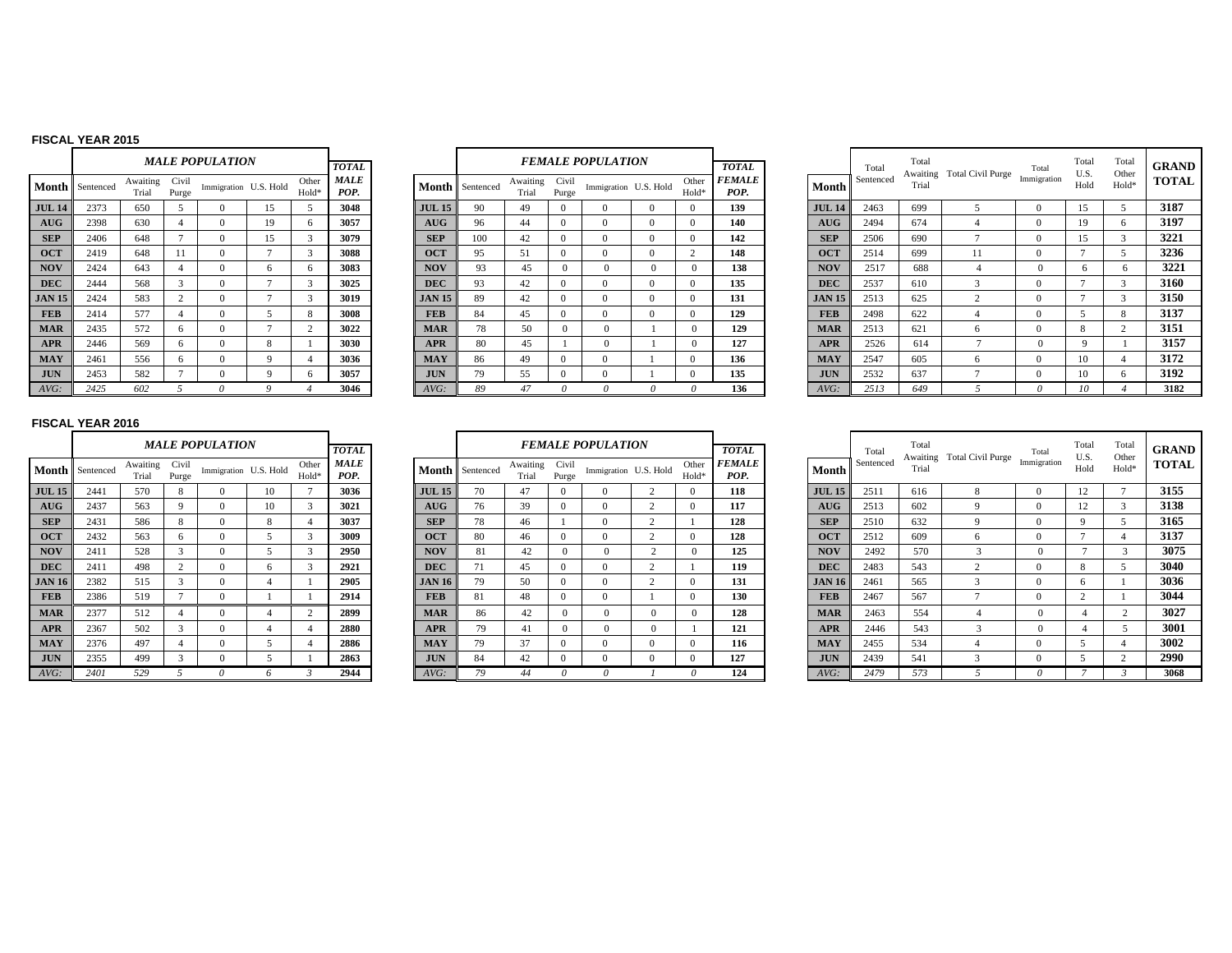#### **FISCAL YEAR 2015**

|               |           |                   |                | <b>MALE POPULATION</b> |    |                |                     |
|---------------|-----------|-------------------|----------------|------------------------|----|----------------|---------------------|
|               |           |                   |                |                        |    |                | <b>TOTAL</b>        |
| Month         | Sentenced | Awaiting<br>Trial | Civil<br>Purge | Immigration U.S. Hold  |    | Other<br>Hold* | <b>MALE</b><br>POP. |
| <b>JUL 14</b> | 2373      | 650               | 5              | $\Omega$               | 15 | 5              | 3048                |
| AUG           | 2398      | 630               | 4              | $\Omega$               | 19 | 6              | 3057                |
| <b>SEP</b>    | 2406      | 648               | 7              | $\Omega$               | 15 | $\mathbf{3}$   | 3079                |
| <b>OCT</b>    | 2419      | 648               | 11             | $\Omega$               | 7  | 3              | 3088                |
| <b>NOV</b>    | 2424      | 643               | $\overline{4}$ | $\Omega$               | 6  | 6              | 3083                |
| <b>DEC</b>    | 2444      | 568               | 3              | $\Omega$               | 7  | 3              | 3025                |
| <b>JAN 15</b> | 2424      | 583               | $\overline{c}$ | $\Omega$               | 7  | 3              | 3019                |
| <b>FEB</b>    | 2414      | 577               | $\overline{4}$ | $\Omega$               | 5  | $\mathbf{8}$   | 3008                |
| <b>MAR</b>    | 2435      | 572               | 6              | $\Omega$               | 7  | $\overline{c}$ | 3022                |
| <b>APR</b>    | 2446      | 569               | 6              | $\Omega$               | 8  | 1              | 3030                |
| <b>MAY</b>    | 2461      | 556               | 6              | $\Omega$               | 9  | $\overline{4}$ | 3036                |
| <b>JUN</b>    | 2453      | 582               | $\overline{7}$ | $\Omega$               | 9  | 6              | 3057                |
| AVG:          | 2425      | 602               | $\overline{5}$ | $\theta$               | 9  | $\overline{4}$ | 3046                |

|               |           |                   |                | <b>MALE POPULATION</b> |                |                | <b>TOTAL</b> |               |           |                   |                | <b>FEMALE POPULATION</b> |                |                | <b>TOTAL</b>          |               | Total    |
|---------------|-----------|-------------------|----------------|------------------------|----------------|----------------|--------------|---------------|-----------|-------------------|----------------|--------------------------|----------------|----------------|-----------------------|---------------|----------|
| Month         | Sentenced | Awaiting<br>Trial | Civil<br>Purge | Immigration U.S. Hold  |                | Other<br>Hold* | MALE<br>POP. | Month I       | Sentenced | Awaiting<br>Trial | Civil<br>Purge | Immigration U.S. Hold    |                | Other<br>Hold* | <b>FEMALE</b><br>POP. | Month         | Sentence |
| <b>JUL 14</b> | 2373      | 650               | $\mathcal{L}$  | $\Omega$               | 15             | 5              | 3048         | <b>JUL 15</b> | 90        | 49                | $\Omega$       | $\Omega$                 | $\Omega$       | $\Omega$       | 139                   | <b>JUL 14</b> | 2463     |
| AUG           | 2398      | 630               | 4              | $\Omega$               | 19             | 6              | 3057         | AUG           | 96        | 44                | $\Omega$       | $\Omega$                 | $\Omega$       | $\Omega$       | 140                   | AUG           | 2494     |
| <b>SEP</b>    | 2406      | 648               |                | $\Omega$               | 15             | 3              | 3079         | <b>SEP</b>    | 100       | 42                | $\Omega$       | $\Omega$                 | $\overline{0}$ | $\Omega$       | 142                   | <b>SEP</b>    | 2506     |
| <b>OCT</b>    | 2419      | 648               | 11             | $\Omega$               | o              | 3              | 3088         | <b>OCT</b>    | 95        | 51                | $\mathbf{0}$   | 0                        | $\Omega$       | $\overline{2}$ | 148                   | <b>OCT</b>    | 2514     |
| <b>NOV</b>    | 2424      | 643               | $\overline{4}$ | $\mathbf{0}$           | 6              | 6              | 3083         | <b>NOV</b>    | 93        | 45                | $\Omega$       | $\mathbf{0}$             | $\mathbf{0}$   | $\Omega$       | 138                   | <b>NOV</b>    | 2517     |
| <b>DEC</b>    | 2444      | 568               | 3              | $\Omega$               | $\overline{ }$ | 3              | 3025         | <b>DEC</b>    | 93        | 42                | $\Omega$       | $\Omega$                 | $\Omega$       | $\Omega$       | 135                   | <b>DEC</b>    | 2537     |
| <b>JAN 15</b> | 2424      | 583               | $\mathcal{L}$  | $\Omega$               | π              | 3              | 3019         | <b>JAN 15</b> | 89        | 42                | $\Omega$       | $\Omega$                 | $\Omega$       | $\Omega$       | 131                   | <b>JAN 15</b> | 2513     |
| <b>FEB</b>    | 2414      | 577               | $\overline{4}$ | $\Omega$               | 5              | 8              | 3008         | <b>FEB</b>    | 84        | 45                | $\Omega$       | $\Omega$                 | $\Omega$       | $\Omega$       | 129                   | <b>FEB</b>    | 2498     |
| <b>MAR</b>    | 2435      | 572               | 6              | $\Omega$               | $\overline{ }$ | 2              | 3022         | <b>MAR</b>    | 78        | 50                | $\Omega$       | $\mathbf{0}$             |                | $\Omega$       | 129                   | <b>MAR</b>    | 2513     |
| <b>APR</b>    | 2446      | 569               | 6              | $\Omega$               | 8              |                | 3030         | <b>APR</b>    | 80        | 45                |                | $\Omega$                 |                | $\Omega$       | 127                   | <b>APR</b>    | 2526     |
| <b>MAY</b>    | 2461      | 556               | 6              | $\Omega$               | 9              | 4              | 3036         | <b>MAY</b>    | 86        | 49                | $\Omega$       | $\Omega$                 |                | $\Omega$       | 136                   | <b>MAY</b>    | 2547     |
| <b>JUN</b>    | 2453      | 582               |                | $\mathbf{0}$           | 9              | 6              | 3057         | <b>JUN</b>    | 79        | 55                | $\mathbf{0}$   | 0                        |                | $\Omega$       | 135                   | <b>JUN</b>    | 2532     |
| AVG:          | 2425      | 602               |                | 0                      | 9              |                | 3046         | $AVG$ :       | 89        | 47                | 0              | $\theta$                 | 0              | 0              | 136                   | AVG:          | 2513     |

|    |                      |                   |                | <b>MALE POPULATION</b> |    |                            | <b>TOTAL</b>        |               |                        |                   |                | <b>FEMALE POPULATION</b> |                            | <b>TOTAL</b>                 |               | Total     | Total | Awaiting Total Civil Purge | Total       | Total<br>U.S. | Total<br>Other    | <b>GRAND</b> |
|----|----------------------|-------------------|----------------|------------------------|----|----------------------------|---------------------|---------------|------------------------|-------------------|----------------|--------------------------|----------------------------|------------------------------|---------------|-----------|-------|----------------------------|-------------|---------------|-------------------|--------------|
|    | <b>1th</b> Sentenced | Awaiting<br>Trial | Civil<br>Purge | Immigration U.S. Hold  |    | Other<br>Hold <sup>®</sup> | <b>MALE</b><br>POP. |               | <b>Month</b> Sentenced | Awaiting<br>Trial | Civil<br>Purge | Immigration U.S. Hold    | Other<br>Hold <sup>®</sup> | <i><b>FEMALE</b></i><br>POP. | Month         | Sentenced | Trial |                            | Immigration | Hold          | Hold <sup>*</sup> | <b>TOTAL</b> |
| 14 | 2373                 | 650               |                |                        | 15 |                            | 3048                | <b>JUL 15</b> | 90                     | 49                | $\Omega$       |                          | $\Omega$                   | 139                          | <b>JUL 14</b> | 2463      | 699   |                            |             | 15            |                   | 3187         |
| G  | 2398                 | 630               |                |                        | 19 |                            | 3057                | AUG           | 96                     | 44                | $\Omega$       |                          | $\Omega$                   | 140                          | AUG           | 2494      | 674   |                            |             | 19            |                   | 3197         |
|    | 2406                 | 648               |                |                        | 15 |                            | 3079                | <b>SEP</b>    | 100                    | 42                | $\Omega$       |                          | $\Omega$                   | 142                          | <b>SEP</b>    | 2506      | 690   |                            |             | 15            |                   | 3221         |
|    | 2419                 | 648               |                |                        |    |                            | 3088                | <b>OCT</b>    | 95                     | 51                | $\Omega$       |                          |                            | 148                          | <b>OCT</b>    | 2514      | 699   |                            |             |               |                   | 3236         |
|    | 2424                 | 643               |                |                        | 6  |                            | 3083                | <b>NOV</b>    | 93                     | 45                | $\Omega$       |                          |                            | 138                          | <b>NOV</b>    | 2517      | 688   |                            |             |               |                   | 3221         |
|    | 2444                 | 568               |                |                        |    |                            | 3025                | <b>DEC</b>    | 93                     | 42                | $\Omega$       |                          | $\Omega$                   | 135                          | <b>DEC</b>    | 2537      | 610   |                            |             |               |                   | 3160         |
| 15 | 2424                 | 583               |                |                        |    |                            | 3019                | <b>JAN 15</b> | 89                     | 42                | $\Omega$       |                          | $\Omega$                   | 131                          | <b>JAN 15</b> | 2513      | 625   |                            |             |               |                   | 3150         |
|    | 2414                 | 577               |                |                        |    |                            | 3008                | <b>FEB</b>    | 84                     | 45                | $\Omega$       | $^{\prime}$              | $^{\circ}$                 | 129                          | <b>FEB</b>    | 2498      | 622   |                            |             |               |                   | 3137         |
|    | 2435                 | 572               | 6              |                        |    |                            | 3022                | <b>MAR</b>    | 78                     | 50                | $\Omega$       |                          |                            | 129                          | <b>MAR</b>    | 2513      | 621   | <sub>6</sub>               |             | ×.            |                   | 3151         |
|    | 2446                 | 569               | 6              |                        |    |                            | 3030                | <b>APR</b>    | 80                     | 45                |                |                          |                            | 127                          | <b>APR</b>    | 2526      | 614   |                            |             |               |                   | 3157         |
|    | 2461                 | 556               | 6              |                        |    |                            | 3036                | <b>MAY</b>    | 86                     | 49                | $\Omega$       |                          | $\Omega$                   | 136                          | <b>MAY</b>    | 2547      | 605   | h                          |             | 10            |                   | 3172         |
|    | 2453                 | 582               |                |                        |    |                            | 3057                | <b>JUN</b>    | 79                     | 55                | $\Omega$       |                          | $\Omega$                   | 135                          | <b>JUN</b>    | 2532      | 637   |                            |             | 10            |                   | 3192         |
|    | 2425                 | 602               |                |                        |    |                            | 3046                | $AVG$ :       | 89                     | 47                |                |                          |                            | 136                          | AVG:          | 2513      | 649   |                            |             |               |                   | 3182         |

## **FISCAL YEAR 2016**

|               |           |                   |                | <b>MALE POPULATION</b> |                |                | <b>TOTAL</b>        |               |
|---------------|-----------|-------------------|----------------|------------------------|----------------|----------------|---------------------|---------------|
| Month         | Sentenced | Awaiting<br>Trial | Civil<br>Purge | Immigration U.S. Hold  |                | Other<br>Hold* | <b>MALE</b><br>POP. | Month         |
| <b>JUL 15</b> | 2441      | 570               | 8              | $\Omega$               | 10             | 7              | 3036                | <b>JUL 15</b> |
| <b>AUG</b>    | 2437      | 563               | 9              | $\Omega$               | 10             | 3              | 3021                | <b>AUG</b>    |
| <b>SEP</b>    | 2431      | 586               | 8              | $\Omega$               | 8              | $\overline{4}$ | 3037                | <b>SEP</b>    |
| <b>OCT</b>    | 2432      | 563               | 6              | $\Omega$               | 5              | 3              | 3009                | <b>OCT</b>    |
| <b>NOV</b>    | 2411      | 528               | 3              | $\Omega$               | 5              | 3              | 2950                | <b>NOV</b>    |
| <b>DEC</b>    | 2411      | 498               | $\overline{c}$ | $\Omega$               | 6              | 3              | 2921                | <b>DEC</b>    |
| <b>JAN 16</b> | 2382      | 515               | 3              | $\Omega$               | $\overline{4}$ | 1              | 2905                | <b>JAN 16</b> |
| <b>FEB</b>    | 2386      | 519               | $\overline{7}$ | $\Omega$               | 1              | 1              | 2914                | <b>FEB</b>    |
| <b>MAR</b>    | 2377      | 512               | $\overline{4}$ | $\Omega$               | $\overline{4}$ | $\mathfrak{2}$ | 2899                | <b>MAR</b>    |
| <b>APR</b>    | 2367      | 502               | 3              | $\Omega$               | $\overline{4}$ | $\overline{4}$ | 2880                | <b>APR</b>    |
| <b>MAY</b>    | 2376      | 497               | $\overline{4}$ | $\mathbf{0}$           | 5              | $\overline{4}$ | 2886                | <b>MAY</b>    |
| <b>JUN</b>    | 2355      | 499               | 3              | $\Omega$               | 5              | 1              | 2863                | <b>JUN</b>    |
| AVG:          | 2401      | 529               | 5              | $\theta$               | 6              | 3              | 2944                | AVG:          |

|             |                     | <i><b>MALE POPULATION</b></i> |    |                | <b>TOTAL</b>        |               |           |                   |                | <b>FEMALE POPULATION</b> |                |                | <b>TOTAL</b>          |               | Total     | Total<br>Awaiti |
|-------------|---------------------|-------------------------------|----|----------------|---------------------|---------------|-----------|-------------------|----------------|--------------------------|----------------|----------------|-----------------------|---------------|-----------|-----------------|
| iting<br>al | Civil<br>Purge      | Immigration U.S. Hold         |    | Other<br>Hold* | <b>MALE</b><br>POP. | Month         | Sentenced | Awaiting<br>Trial | Civil<br>Purge | Immigration U.S. Hold    |                | Other<br>Hold* | <b>FEMALE</b><br>POP. | Month         | Sentenced | Trial           |
| 0           | 8                   | $\Omega$                      | 10 |                | 3036                | <b>JUL 15</b> | 70        | 47                | $\Omega$       | $\Omega$                 | $\overline{c}$ | $\mathbf{0}$   | 118                   | <b>JUL 15</b> | 2511      | 616             |
| $\sim$      | 9                   | $\Omega$                      | 10 | 3              | 3021                | AUG           | 76        | 39                | $\Omega$       | $\Omega$                 | $\overline{2}$ | $\mathbf{0}$   | 117                   | AUG           | 2513      | 602             |
| 6           | 8                   | $\Omega$                      | 8  | 4              | 3037                | <b>SEP</b>    | 78        | 46                |                | $\Omega$                 | $\overline{2}$ |                | 128                   | <b>SEP</b>    | 2510      | 632             |
|             | 6                   | $\Omega$                      | 5  | 3              | 3009                | <b>OCT</b>    | 80        | 46                | $\Omega$       | $\Omega$                 | $\overline{c}$ | $\mathbf{0}$   | 128                   | <b>OCT</b>    | 2512      | 609             |
| 8           | 3                   | $\Omega$                      | 5. | 3              | 2950                | <b>NOV</b>    | 81        | 42                | $\Omega$       | $\Omega$                 | 2              | $\Omega$       | 125                   | <b>NOV</b>    | 2492      | 570             |
| 8           | C                   | $\Omega$                      | 6  | 3              | 2921                | <b>DEC</b>    | 71        | 45                | $\Omega$       | $\Omega$                 | $\overline{c}$ |                | 119                   | <b>DEC</b>    | 2483      | 543             |
| 5           | $\overline{ }$      | $\Omega$                      | 4  |                | 2905                | <b>JAN 16</b> | 79        | 50                | $\mathbf{0}$   | $\Omega$                 | $\overline{2}$ | $\mathbf{0}$   | 131                   | <b>JAN 16</b> | 2461      | 565             |
| Q           |                     | $\Omega$                      |    |                | 2914                | <b>FEB</b>    | 81        | 48                | $\Omega$       | $\Omega$                 |                | $\mathbf{0}$   | 130                   | <b>FEB</b>    | 2467      | 567             |
| o           | 4                   | $\Omega$                      | 4  | $\overline{c}$ | 2899                | <b>MAR</b>    | 86        | 42                | $\Omega$       | $\Omega$                 | $\Omega$       | $\Omega$       | 128                   | <b>MAR</b>    | 2463      | 554             |
| Λ           | 3                   | $\Omega$                      | 4  | 4              | 2880                | <b>APR</b>    | 79        | 41                | $\Omega$       | $\mathbf{0}$             | $\mathbf{0}$   |                | 121                   | <b>APR</b>    | 2446      | 543             |
| o           | 4                   | $\Omega$                      | 5  | 4              | 2886                | <b>MAY</b>    | 79        | 37                | $\Omega$       | $\Omega$                 | $\mathbf{0}$   | $\mathbf{0}$   | 116                   | <b>MAY</b>    | 2455      | 534             |
| o           | $\overline{ }$<br>3 | $\Omega$                      | 5. |                | 2863                | <b>JUN</b>    | 84        | 42                | $\Omega$       | $\Omega$                 | $\mathbf{0}$   | $\mathbf{0}$   | 127                   | <b>JUN</b>    | 2439      | 541             |
|             |                     | $\theta$                      | 6  |                | 2944                | $AVG$ :       | 79        | 44                | 0              | $\theta$                 |                | 0              | 124                   | $AVG$ :       | 2479      | 573             |

|    |                      |                   |                | <b>MALE POPULATION</b> |    |                | <b>TOTAL</b> |               |                 |                   |                | <b>FEMALE POPULATION</b> |          |                            | <b>TOTAL</b>          |               | Total     | Total<br>Awaiting | Total Civil Purge | Total       | Total<br>U.S.          | Total<br>Other | <b>GRAND</b> |
|----|----------------------|-------------------|----------------|------------------------|----|----------------|--------------|---------------|-----------------|-------------------|----------------|--------------------------|----------|----------------------------|-----------------------|---------------|-----------|-------------------|-------------------|-------------|------------------------|----------------|--------------|
|    | <b>1th</b> Sentenced | Awaiting<br>Trial | Civil<br>Purge | Immigration U.S. Hold  |    | Other<br>Hold* | MALE<br>POP. |               | Month Sentenced | Awaiting<br>Trial | Civil<br>Purge | Immigration U.S. Hold    |          | Other<br>Hold <sup>*</sup> | <i>FEMALE</i><br>POP. | <b>Month</b>  | Sentenced | Trial             |                   | Immigration | Hold                   | Hold*          | <b>TOTAL</b> |
| 15 | 2441                 | 570               | 8              |                        | 10 |                | 3036         | <b>JUL 15</b> | 70              | 47                | $\Omega$       |                          |          |                            | 118                   | <b>JUL 15</b> | 2511      | 616               | 8                 |             | 12                     |                | 3155         |
| G. | 2437                 | 563               |                |                        | l0 |                | 3021         | <b>AUG</b>    | 76              | 39                |                |                          |          |                            | 117                   | <b>AUG</b>    | 2513      | 602               | $\mathbf Q$       |             | 12                     |                | 3138         |
|    | 2431                 | 586               | 8              |                        |    |                | 3037         | <b>SEP</b>    | 78              | 46                |                |                          |          |                            | 128                   | <b>SEP</b>    | 2510      | 632               |                   |             |                        |                | 3165         |
|    | 2432                 | 563               |                |                        |    |                | 3009         | <b>OCT</b>    | 80              | 46                |                |                          |          |                            | 128                   | <b>OCT</b>    | 2512      | 609               | 6                 |             |                        |                | 3137         |
|    | 2411                 | 528               | $\mathbf{r}$   |                        |    |                | 2950         | <b>NOV</b>    | 81              | 42                | $\Omega$       |                          |          |                            | 125                   | <b>NOV</b>    | 2492      | 570               |                   |             |                        |                | 3075         |
|    | 2411                 | 498               | $\Omega$       |                        |    |                | 2921         | <b>DEC</b>    |                 |                   | $\Omega$       |                          |          |                            | 119                   | <b>DEC</b>    | 2483      | 543               | $\overline{ }$    | $^{\circ}$  | $\mathbf{\mathcal{R}}$ |                | 3040         |
| 16 | 2382                 | 515               |                |                        |    |                | 2905         | <b>JAN 16</b> | 79              | 50                | $\Omega$       |                          |          |                            | 131                   | <b>JAN 16</b> | 2461      | 565               |                   |             |                        |                | 3036         |
|    | 2386                 | 519               |                |                        |    |                | 2914         | <b>FEB</b>    | 81              | 48                | $\Omega$       |                          |          |                            | 130                   | <b>FEB</b>    | 2467      | 567               |                   | $\theta$    |                        |                | 3044         |
|    | 2377                 | 512               |                |                        |    |                | 2899         | <b>MAR</b>    | 86              | 42                | $\Omega$       |                          |          |                            | 128                   | <b>MAR</b>    | 2463      | 554               |                   |             |                        |                | 3027         |
|    | 2367                 | 502               |                |                        |    |                | 2880         | <b>APR</b>    | 79              | 41                | $\Omega$       |                          | $\Omega$ |                            | 121                   | <b>APR</b>    | 2446      | 543               |                   |             |                        |                | 3001         |
|    | 2376                 | 497               |                |                        |    |                | 2886         | <b>MAY</b>    | 79              | 37                | $\Omega$       |                          |          |                            | 116                   | <b>MAY</b>    | 2455      | 534               |                   |             |                        |                | 3002         |
|    | 2355                 | 499               |                |                        |    |                | 2863         | <b>JUN</b>    | 84              | 42                |                |                          |          |                            | 127                   | <b>JUN</b>    | 2439      | 541               |                   |             |                        |                | 2990         |
|    | 2401                 | 529               |                |                        |    |                | 2944         | $AVG$ :       | 70              | 44                |                |                          |          |                            | 124                   | AVG:          | 2479      | 575               |                   |             |                        |                | 3068         |